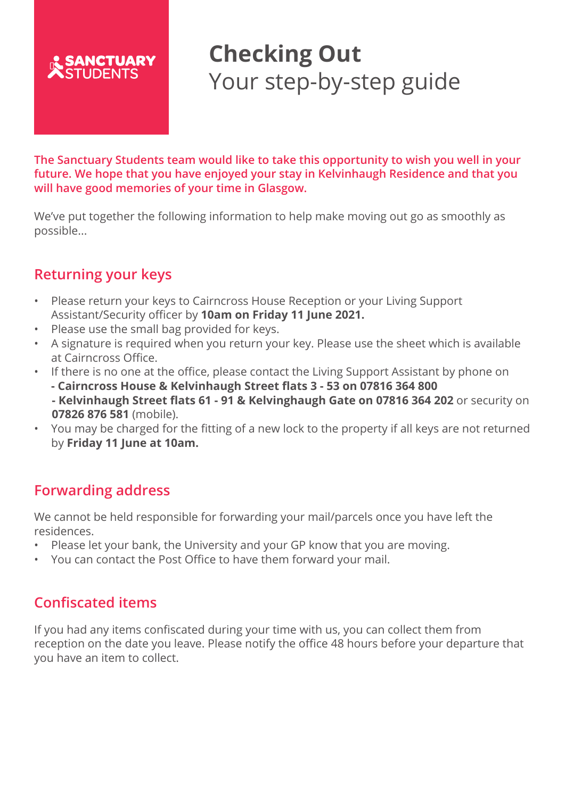

# **Checking Out**  Your step-by-step guide

**The Sanctuary Students team would like to take this opportunity to wish you well in your future. We hope that you have enjoyed your stay in Kelvinhaugh Residence and that you will have good memories of your time in Glasgow.**

We've put together the following information to help make moving out go as smoothly as possible...

## **Returning your keys**

- Please return your keys to Cairncross House Reception or your Living Support Assistant/Security officer by **10am on Friday 11 June 2021.**
- Please use the small bag provided for keys.
- A signature is required when you return your key. Please use the sheet which is available at Cairncross Office.
- If there is no one at the office, please contact the Living Support Assistant by phone on **- Cairncross House & Kelvinhaugh Street flats 3 - 53 on 07816 364 800 - Kelvinhaugh Street flats 61 - 91 & Kelvinghaugh Gate on 07816 364 202** or security on **07826 876 581** (mobile).
- You may be charged for the fitting of a new lock to the property if all keys are not returned by **Friday 11 June at 10am.**

### **Forwarding address**

We cannot be held responsible for forwarding your mail/parcels once you have left the residences.

- Please let your bank, the University and your GP know that you are moving.
- You can contact the Post Office to have them forward your mail.

### **Confiscated items**

If you had any items confiscated during your time with us, you can collect them from reception on the date you leave. Please notify the office 48 hours before your departure that you have an item to collect.